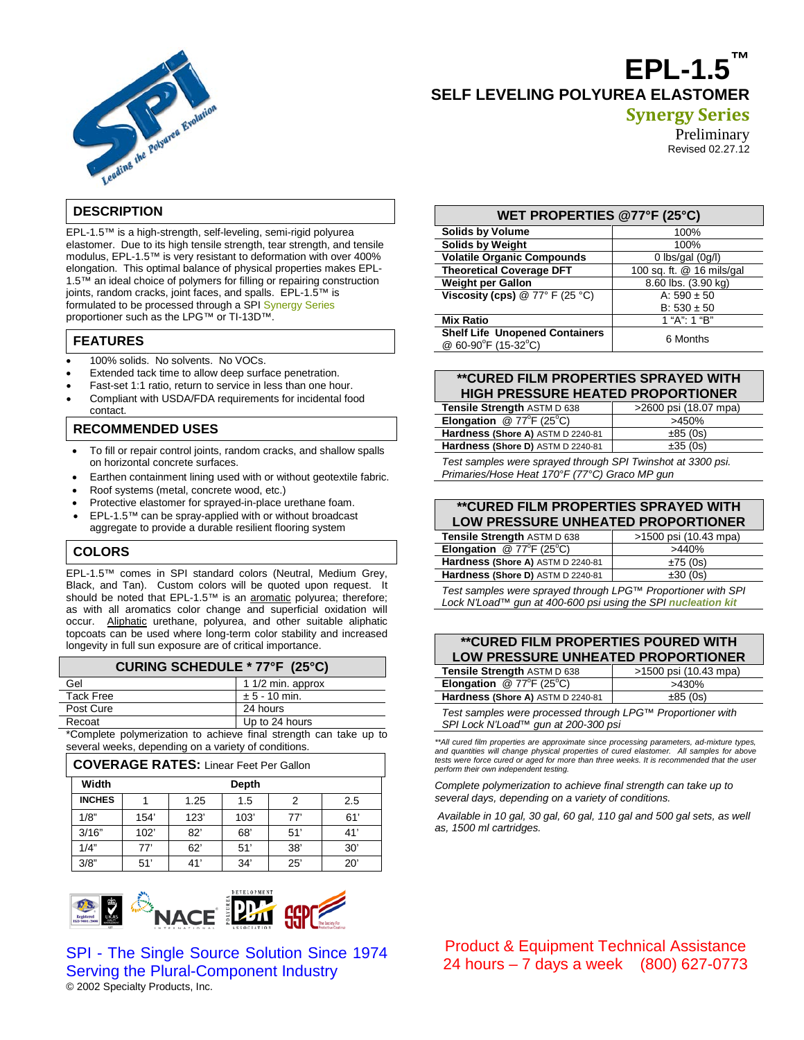

# **EPL-1.5™ SELF LEVELING POLYUREA ELASTOMER**

# **Synergy Series**

Preliminary

Revised 02.27.12

## **DESCRIPTION**

EPL-1.5™ is a high-strength, self-leveling, semi-rigid polyurea elastomer. Due to its high tensile strength, tear strength, and tensile modulus, EPL-1.5™ is very resistant to deformation with over 400% elongation. This optimal balance of physical properties makes EPL-1.5™ an ideal choice of polymers for filling or repairing construction joints, random cracks, joint faces, and spalls. EPL-1.5™ is formulated to be processed through a SPI Synergy Series proportioner such as the LPG™ or TI-13D™.

## **FEATURES**

- 100% solids. No solvents. No VOCs.
- Extended tack time to allow deep surface penetration.
- Fast-set 1:1 ratio, return to service in less than one hour.
- Compliant with USDA/FDA requirements for incidental food contact.

## **RECOMMENDED USES**

- To fill or repair control joints, random cracks, and shallow spalls on horizontal concrete surfaces.
- Earthen containment lining used with or without geotextile fabric.
- Roof systems (metal, concrete wood, etc.)
- Protective elastomer for sprayed-in-place urethane foam.
- EPL-1.5™ can be spray-applied with or without broadcast aggregate to provide a durable resilient flooring system

# **COLORS**

EPL-1.5™ comes in SPI standard colors (Neutral, Medium Grey, Black, and Tan). Custom colors will be quoted upon request. It should be noted that EPL-1.5™ is an aromatic polyurea; therefore; as with all aromatics color change and superficial oxidation will occur. Aliphatic urethane, polyurea, and other suitable aliphatic topcoats can be used where long-term color stability and increased longevity in full sun exposure are of critical importance.

### **CURING SCHEDULE \* 77°F (25°C)**

| Gel              | 1 1/2 min. approx |  |
|------------------|-------------------|--|
| <b>Tack Free</b> | $± 5 - 10$ min.   |  |
| Post Cure        | 24 hours          |  |
| Recoat           | Up to 24 hours    |  |

\*Complete polymerization to achieve final strength can take up to several weeks, depending on a variety of conditions.

#### **COVERAGE RATES:** Linear Feet Per Gallon

| Width         |      |      | Depth |     |     |
|---------------|------|------|-------|-----|-----|
| <b>INCHES</b> |      | 1.25 | 1.5   | 2   | 2.5 |
| 1/8"          | 154' | 123' | 103'  | 77' | 61' |
| 3/16"         | 102' | 82'  | 68'   | 51' | 41' |
| 1/4"          | 77'  | 62'  | 51'   | 38' | 30' |
| 3/8"          | 51'  | 41'  | 34'   | 25' | 20' |



© 2002 Specialty Products, Inc. SPI - The Single Source Solution Since 1974 Serving the Plural-Component Industry

| WET PROPERTIES @77°F (25°C)                                  |                           |  |  |
|--------------------------------------------------------------|---------------------------|--|--|
| <b>Solids by Volume</b>                                      | 100%                      |  |  |
| <b>Solids by Weight</b>                                      | 100%                      |  |  |
| <b>Volatile Organic Compounds</b>                            | $0$ lbs/gal $(0q/l)$      |  |  |
| <b>Theoretical Coverage DFT</b>                              | 100 sq. ft. @ 16 mils/gal |  |  |
| <b>Weight per Gallon</b>                                     | 8.60 lbs. (3.90 kg)       |  |  |
| Viscosity (cps) $@ 77° F (25 °C)$                            | A: $590 \pm 50$           |  |  |
|                                                              | $B: 530 \pm 50$           |  |  |
| <b>Mix Ratio</b>                                             | 1 "A": 1 "B"              |  |  |
| <b>Shelf Life Unopened Containers</b><br>@ 60-90°F (15-32°C) | 6 Months                  |  |  |

## **\*\*CURED FILM PROPERTIES SPRAYED WITH HIGH PRESSURE HEATED PROPORTIONER**

| Tensile Strength ASTM D 638                                | >2600 psi (18.07 mpa) |  |
|------------------------------------------------------------|-----------------------|--|
| Elongation @ $77^{\circ}F(25^{\circ}C)$                    | >450%                 |  |
| Hardness (Shore A) ASTM D 2240-81                          | ±85(0s)               |  |
| Hardness (Shore D) ASTM D 2240-81                          | ±35(0s)               |  |
| Toot complex were enrougd through CDI Twinshot of 2200 poi |                       |  |

*Test samples were sprayed through SPI Twinshot at 3300 psi. Primaries/Hose Heat 170°F (77°C) Graco MP gun*

#### **\*\*CURED FILM PROPERTIES SPRAYED WITH LOW PRESSURE UNHEATED PROPORTIONER**

| LOW I REGOURE GRIEATED I ROL ORTORER           |                       |  |  |
|------------------------------------------------|-----------------------|--|--|
| Tensile Strength ASTM D 638                    | >1500 psi (10.43 mpa) |  |  |
| <b>Elongation</b> @ $77^{\circ}F(25^{\circ}C)$ | >440%                 |  |  |
| Hardness (Shore A) ASTM D 2240-81              | ±75(0s)               |  |  |
| Hardness (Shore D) ASTM D 2240-81              | ±30(0s)               |  |  |

*Test samples were sprayed through LPG™ Proportioner with SPI Lock N'Load™ gun at 400-600 psi using the SPI nucleation kit*

## **\*\*CURED FILM PROPERTIES POURED WITH LOW PRESSURE UNHEATED PROPORTIONER**

| Tensile Strength ASTM D 638                                | >1500 psi (10.43 mpa) |  |
|------------------------------------------------------------|-----------------------|--|
| <b>Elongation</b> @ $77^{\circ}F(25^{\circ}C)$             | >430%                 |  |
| Hardness (Shore A) ASTM D 2240-81<br>±85(0s)               |                       |  |
| Tool complex work processed through 1 DOM Dreampticas with |                       |  |

*Test samples were processed through LPG™ Proportioner with SPI Lock N'Load™ gun at 200-300 psi*

*\*\*All cured film properties are approximate since processing parameters, ad-mixture types, and quantities will change physical properties of cured elastomer. All samples for above*  tests were force cured or aged for more than three weeks. It is recommended that the user *perform their own independent testing.*

*Complete polymerization to achieve final strength can take up to several days, depending on a variety of conditions.*

*Available in 10 gal, 30 gal, 60 gal, 110 gal and 500 gal sets, as well as, 1500 ml cartridges.*

Product & Equipment Technical Assistance 24 hours – 7 days a week (800) 627-0773